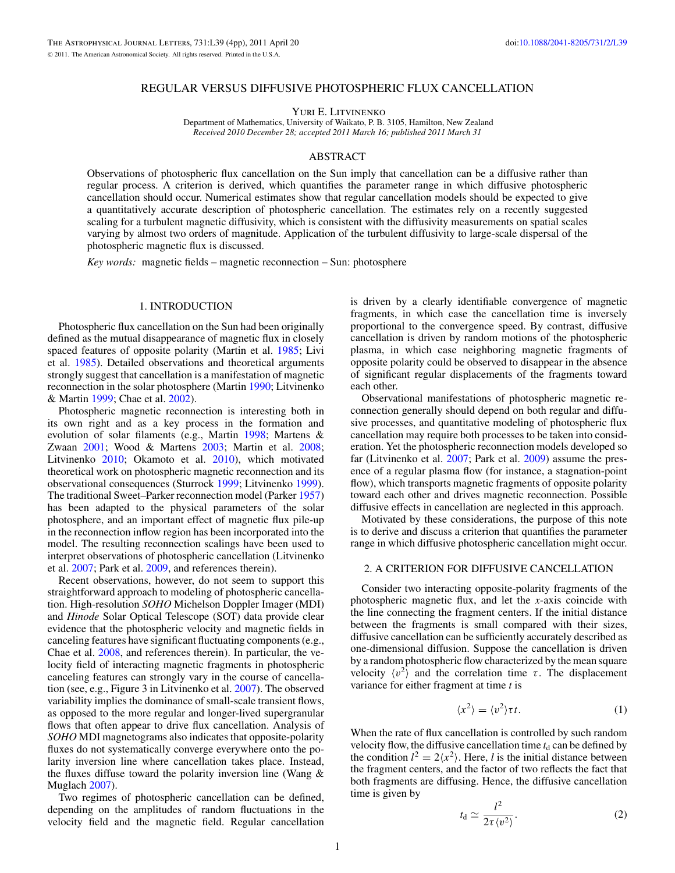## REGULAR VERSUS DIFFUSIVE PHOTOSPHERIC FLUX CANCELLATION

Yuri E. Litvinenko

Department of Mathematics, University of Waikato, P. B. 3105, Hamilton, New Zealand *Received 2010 December 28; accepted 2011 March 16; published 2011 March 31*

# ABSTRACT

Observations of photospheric flux cancellation on the Sun imply that cancellation can be a diffusive rather than regular process. A criterion is derived, which quantifies the parameter range in which diffusive photospheric cancellation should occur. Numerical estimates show that regular cancellation models should be expected to give a quantitatively accurate description of photospheric cancellation. The estimates rely on a recently suggested scaling for a turbulent magnetic diffusivity, which is consistent with the diffusivity measurements on spatial scales varying by almost two orders of magnitude. Application of the turbulent diffusivity to large-scale dispersal of the photospheric magnetic flux is discussed.

*Key words:* magnetic fields – magnetic reconnection – Sun: photosphere

# 1. INTRODUCTION

Photospheric flux cancellation on the Sun had been originally defined as the mutual disappearance of magnetic flux in closely spaced features of opposite polarity (Martin et al. [1985;](#page-3-0) Livi et al. [1985\)](#page-3-0). Detailed observations and theoretical arguments strongly suggest that cancellation is a manifestation of magnetic reconnection in the solar photosphere (Martin [1990;](#page-3-0) Litvinenko & Martin [1999;](#page-3-0) Chae et al. [2002\)](#page-3-0).

Photospheric magnetic reconnection is interesting both in its own right and as a key process in the formation and evolution of solar filaments (e.g., Martin [1998;](#page-3-0) Martens & Zwaan [2001;](#page-3-0) Wood & Martens [2003;](#page-3-0) Martin et al. [2008;](#page-3-0) Litvinenko [2010;](#page-3-0) Okamoto et al. [2010\)](#page-3-0), which motivated theoretical work on photospheric magnetic reconnection and its observational consequences (Sturrock [1999;](#page-3-0) Litvinenko [1999\)](#page-3-0). The traditional Sweet–Parker reconnection model (Parker [1957\)](#page-3-0) has been adapted to the physical parameters of the solar photosphere, and an important effect of magnetic flux pile-up in the reconnection inflow region has been incorporated into the model. The resulting reconnection scalings have been used to interpret observations of photospheric cancellation (Litvinenko et al. [2007;](#page-3-0) Park et al. [2009,](#page-3-0) and references therein).

Recent observations, however, do not seem to support this straightforward approach to modeling of photospheric cancellation. High-resolution *SOHO* Michelson Doppler Imager (MDI) and *Hinode* Solar Optical Telescope (SOT) data provide clear evidence that the photospheric velocity and magnetic fields in canceling features have significant fluctuating components (e.g., Chae et al. [2008,](#page-3-0) and references therein). In particular, the velocity field of interacting magnetic fragments in photospheric canceling features can strongly vary in the course of cancellation (see, e.g., Figure 3 in Litvinenko et al. [2007\)](#page-3-0). The observed variability implies the dominance of small-scale transient flows, as opposed to the more regular and longer-lived supergranular flows that often appear to drive flux cancellation. Analysis of *SOHO* MDI magnetograms also indicates that opposite-polarity fluxes do not systematically converge everywhere onto the polarity inversion line where cancellation takes place. Instead, the fluxes diffuse toward the polarity inversion line (Wang  $\&$ Muglach [2007\)](#page-3-0).

Two regimes of photospheric cancellation can be defined, depending on the amplitudes of random fluctuations in the velocity field and the magnetic field. Regular cancellation

is driven by a clearly identifiable convergence of magnetic fragments, in which case the cancellation time is inversely proportional to the convergence speed. By contrast, diffusive cancellation is driven by random motions of the photospheric plasma, in which case neighboring magnetic fragments of opposite polarity could be observed to disappear in the absence of significant regular displacements of the fragments toward each other.

Observational manifestations of photospheric magnetic reconnection generally should depend on both regular and diffusive processes, and quantitative modeling of photospheric flux cancellation may require both processes to be taken into consideration. Yet the photospheric reconnection models developed so far (Litvinenko et al. [2007;](#page-3-0) Park et al. [2009\)](#page-3-0) assume the presence of a regular plasma flow (for instance, a stagnation-point flow), which transports magnetic fragments of opposite polarity toward each other and drives magnetic reconnection. Possible diffusive effects in cancellation are neglected in this approach.

Motivated by these considerations, the purpose of this note is to derive and discuss a criterion that quantifies the parameter range in which diffusive photospheric cancellation might occur.

## 2. A CRITERION FOR DIFFUSIVE CANCELLATION

Consider two interacting opposite-polarity fragments of the photospheric magnetic flux, and let the *x*-axis coincide with the line connecting the fragment centers. If the initial distance between the fragments is small compared with their sizes, diffusive cancellation can be sufficiently accurately described as one-dimensional diffusion. Suppose the cancellation is driven by a random photospheric flow characterized by the mean square velocity  $\langle v^2 \rangle$  and the correlation time  $\tau$ . The displacement variance for either fragment at time *t* is

$$
\langle x^2 \rangle = \langle v^2 \rangle \tau t. \tag{1}
$$

When the rate of flux cancellation is controlled by such random velocity flow, the diffusive cancellation time  $t_d$  can be defined by the condition  $l^2 = 2\langle x^2 \rangle$ . Here, *l* is the initial distance between the fragment centers, and the factor of two reflects the fact that both fragments are diffusing. Hence, the diffusive cancellation time is given by

$$
t_{\rm d} \simeq \frac{l^2}{2\tau \langle v^2 \rangle}.
$$
 (2)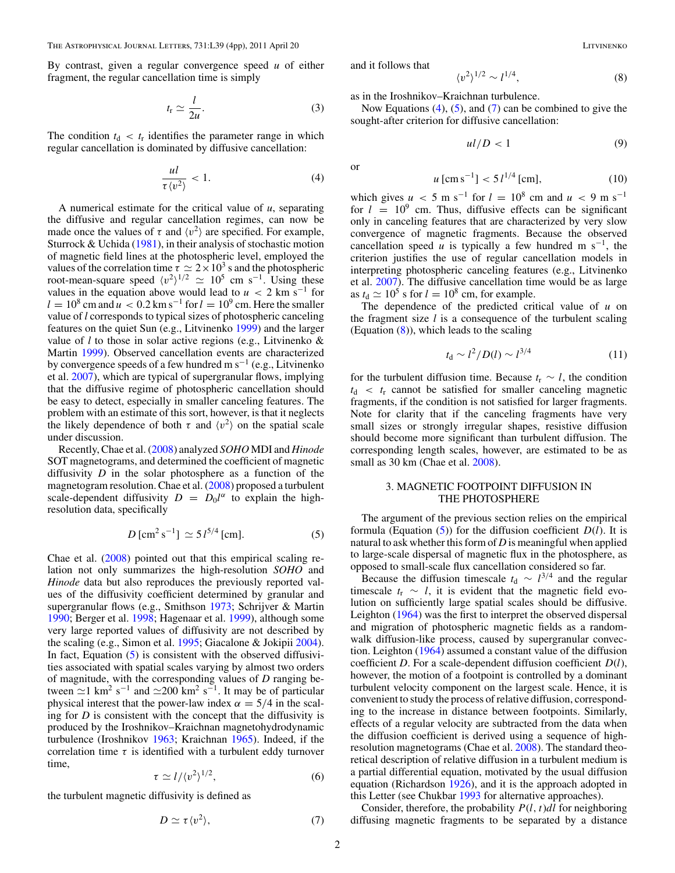<span id="page-1-0"></span>By contrast, given a regular convergence speed *u* of either fragment, the regular cancellation time is simply

$$
t_{\rm r} \simeq \frac{l}{2u}.\tag{3}
$$

The condition  $t_d < t_r$  identifies the parameter range in which regular cancellation is dominated by diffusive cancellation:

$$
\frac{ul}{\tau \langle v^2 \rangle} < 1. \tag{4}
$$

A numerical estimate for the critical value of *u*, separating the diffusive and regular cancellation regimes, can now be made once the values of  $\tau$  and  $\langle v^2 \rangle$  are specified. For example, Sturrock  $& Uchida (1981)$  $& Uchida (1981)$ , in their analysis of stochastic motion of magnetic field lines at the photospheric level, employed the values of the correlation time  $\tau \simeq 2 \times 10^3$  s and the photospheric root-mean-square speed  $\langle v^2 \rangle^{1/2} \simeq 10^5$  cm s<sup>-1</sup>. Using these values in the equation above would lead to  $u < 2$  km s<sup>-1</sup> for  $l = 10^8$  cm and  $u < 0.2$  km s<sup>-1</sup> for  $l = 10^9$  cm. Here the smaller value of *l* corresponds to typical sizes of photospheric canceling features on the quiet Sun (e.g., Litvinenko [1999\)](#page-3-0) and the larger value of *l* to those in solar active regions (e.g., Litvinenko & Martin [1999\)](#page-3-0). Observed cancellation events are characterized by convergence speeds of a few hundred m  $s^{-1}$  (e.g., Litvinenko et al. [2007\)](#page-3-0), which are typical of supergranular flows, implying that the diffusive regime of photospheric cancellation should be easy to detect, especially in smaller canceling features. The problem with an estimate of this sort, however, is that it neglects the likely dependence of both  $\tau$  and  $\langle v^2 \rangle$  on the spatial scale under discussion.

Recently, Chae et al. [\(2008\)](#page-3-0) analyzed *SOHO* MDI and *Hinode* SOT magnetograms, and determined the coefficient of magnetic diffusivity *D* in the solar photosphere as a function of the magnetogram resolution. Chae et al. [\(2008\)](#page-3-0) proposed a turbulent scale-dependent diffusivity  $D = D_0 l^{\alpha}$  to explain the highresolution data, specifically

$$
D\,[\text{cm}^2\,\text{s}^{-1}] \simeq 5\,l^{5/4}\,[\text{cm}].\tag{5}
$$

Chae et al. [\(2008\)](#page-3-0) pointed out that this empirical scaling relation not only summarizes the high-resolution *SOHO* and *Hinode* data but also reproduces the previously reported values of the diffusivity coefficient determined by granular and supergranular flows (e.g., Smithson [1973;](#page-3-0) Schrijver & Martin [1990;](#page-3-0) Berger et al. [1998;](#page-3-0) Hagenaar et al. [1999\)](#page-3-0), although some very large reported values of diffusivity are not described by the scaling (e.g., Simon et al. [1995;](#page-3-0) Giacalone & Jokipii [2004\)](#page-3-0). In fact, Equation  $(5)$  is consistent with the observed diffusivities associated with spatial scales varying by almost two orders of magnitude, with the corresponding values of *D* ranging between  $\approx$ 1 km<sup>2</sup> s<sup>-1</sup> and  $\approx$ 200 km<sup>2</sup> s<sup>-1</sup>. It may be of particular physical interest that the power-law index  $\alpha = 5/4$  in the scaling for *D* is consistent with the concept that the diffusivity is produced by the Iroshnikov–Kraichnan magnetohydrodynamic turbulence (Iroshnikov [1963;](#page-3-0) Kraichnan [1965\)](#page-3-0). Indeed, if the correlation time  $\tau$  is identified with a turbulent eddy turnover time,

$$
\tau \simeq l/\langle v^2 \rangle^{1/2},\tag{6}
$$

the turbulent magnetic diffusivity is defined as

$$
D \simeq \tau \langle v^2 \rangle, \tag{7}
$$

and it follows that

$$
\langle v^2 \rangle^{1/2} \sim l^{1/4},\tag{8}
$$

as in the Iroshnikov–Kraichnan turbulence.

Now Equations (4), (5), and (7) can be combined to give the sought-after criterion for diffusive cancellation:

$$
ul/D < 1\tag{9}
$$

or

$$
u\,[\mathrm{cm\,s}^{-1}] < 5\,l^{1/4}\,[\mathrm{cm}],\tag{10}
$$

which gives  $u < 5$  m s<sup>-1</sup> for  $l = 10^8$  cm and  $u < 9$  m s<sup>-1</sup> for  $l = 10^9$  cm. Thus, diffusive effects can be significant only in canceling features that are characterized by very slow convergence of magnetic fragments. Because the observed cancellation speed *u* is typically a few hundred m s<sup>-1</sup>, the criterion justifies the use of regular cancellation models in interpreting photospheric canceling features (e.g., Litvinenko et al. [2007\)](#page-3-0). The diffusive cancellation time would be as large as  $t_d \approx 10^5$  s for  $l = 10^8$  cm, for example.

The dependence of the predicted critical value of *u* on the fragment size *l* is a consequence of the turbulent scaling (Equation  $(8)$ ), which leads to the scaling

$$
t_{\rm d} \sim l^2/D(l) \sim l^{3/4} \tag{11}
$$

for the turbulent diffusion time. Because  $t_r \sim l$ , the condition  $t<sub>d</sub> < t<sub>r</sub>$  cannot be satisfied for smaller canceling magnetic fragments, if the condition is not satisfied for larger fragments. Note for clarity that if the canceling fragments have very small sizes or strongly irregular shapes, resistive diffusion should become more significant than turbulent diffusion. The corresponding length scales, however, are estimated to be as small as 30 km (Chae et al. [2008\)](#page-3-0).

## 3. MAGNETIC FOOTPOINT DIFFUSION IN THE PHOTOSPHERE

The argument of the previous section relies on the empirical formula (Equation (5)) for the diffusion coefficient *D*(*l*). It is natural to ask whether this form of *D* is meaningful when applied to large-scale dispersal of magnetic flux in the photosphere, as opposed to small-scale flux cancellation considered so far.

Because the diffusion timescale  $t_d \sim l^{3/4}$  and the regular timescale  $t_r \sim l$ , it is evident that the magnetic field evolution on sufficiently large spatial scales should be diffusive. Leighton [\(1964\)](#page-3-0) was the first to interpret the observed dispersal and migration of photospheric magnetic fields as a randomwalk diffusion-like process, caused by supergranular convection. Leighton [\(1964\)](#page-3-0) assumed a constant value of the diffusion coefficient *D*. For a scale-dependent diffusion coefficient *D*(*l*), however, the motion of a footpoint is controlled by a dominant turbulent velocity component on the largest scale. Hence, it is convenient to study the process of relative diffusion, corresponding to the increase in distance between footpoints. Similarly, effects of a regular velocity are subtracted from the data when the diffusion coefficient is derived using a sequence of highresolution magnetograms (Chae et al. [2008\)](#page-3-0). The standard theoretical description of relative diffusion in a turbulent medium is a partial differential equation, motivated by the usual diffusion equation (Richardson [1926\)](#page-3-0), and it is the approach adopted in this Letter (see Chukbar [1993](#page-3-0) for alternative approaches).

Consider, therefore, the probability *P*(*l,t*)*dl* for neighboring diffusing magnetic fragments to be separated by a distance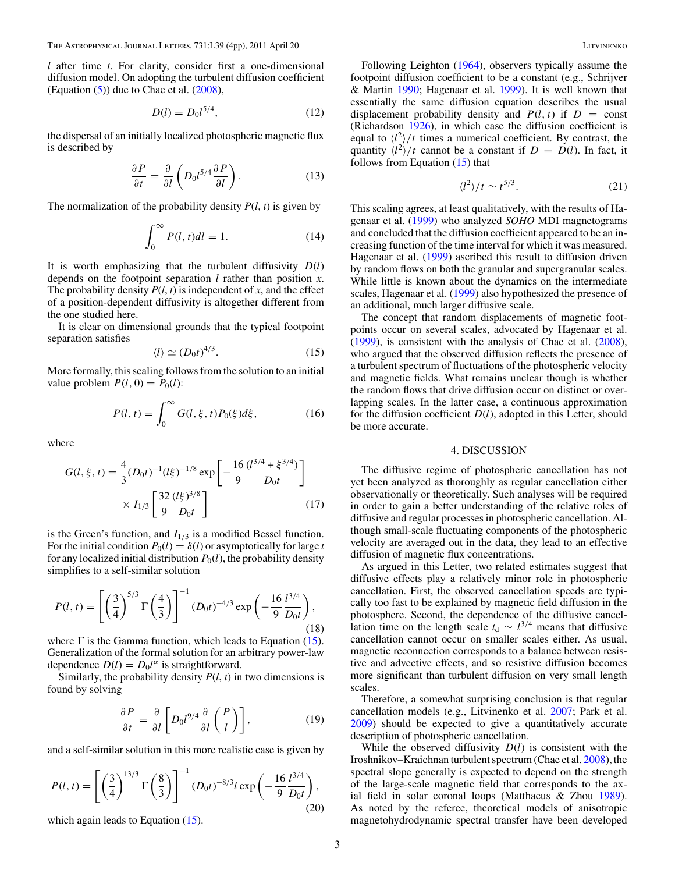*l* after time *t*. For clarity, consider first a one-dimensional diffusion model. On adopting the turbulent diffusion coefficient (Equation  $(5)$ ) due to Chae et al.  $(2008)$ ,

$$
D(l) = D_0 l^{5/4},\tag{12}
$$

the dispersal of an initially localized photospheric magnetic flux is described by

$$
\frac{\partial P}{\partial t} = \frac{\partial}{\partial l} \left( D_0 l^{5/4} \frac{\partial P}{\partial l} \right).
$$
 (13)

The normalization of the probability density  $P(l, t)$  is given by

$$
\int_0^\infty P(l, t)dl = 1.
$$
 (14)

It is worth emphasizing that the turbulent diffusivity *D*(*l*) depends on the footpoint separation *l* rather than position *x*. The probability density  $P(l, t)$  is independent of *x*, and the effect of a position-dependent diffusivity is altogether different from the one studied here.

It is clear on dimensional grounds that the typical footpoint separation satisfies

$$
\langle l \rangle \simeq (D_0 t)^{4/3}.
$$
 (15)

More formally, this scaling follows from the solution to an initial value problem  $P(l, 0) = P_0(l)$ :

$$
P(l, t) = \int_0^\infty G(l, \xi, t) P_0(\xi) d\xi,
$$
 (16)

where

$$
G(l, \xi, t) = \frac{4}{3} (D_0 t)^{-1} (l\xi)^{-1/8} \exp\left[-\frac{16}{9} \frac{(l^{3/4} + \xi^{3/4})}{D_0 t}\right] \times I_{1/3} \left[\frac{32}{9} \frac{(l\xi)^{3/8}}{D_0 t}\right]
$$
(17)

is the Green's function, and  $I_{1/3}$  is a modified Bessel function. For the initial condition  $P_0(l) = \delta(l)$  or asymptotically for large *t* for any localized initial distribution  $P_0(l)$ , the probability density simplifies to a self-similar solution

$$
P(l,t) = \left[ \left( \frac{3}{4} \right)^{5/3} \Gamma \left( \frac{4}{3} \right) \right]^{-1} (D_0 t)^{-4/3} \exp \left( -\frac{16}{9} \frac{l^{3/4}}{D_0 t} \right),\tag{18}
$$

where  $\Gamma$  is the Gamma function, which leads to Equation (15). Generalization of the formal solution for an arbitrary power-law dependence  $D(l) = D_0 l^{\alpha}$  is straightforward.

Similarly, the probability density  $P(l, t)$  in two dimensions is found by solving

$$
\frac{\partial P}{\partial t} = \frac{\partial}{\partial l} \left[ D_0 l^{9/4} \frac{\partial}{\partial l} \left( \frac{P}{l} \right) \right],\tag{19}
$$

and a self-similar solution in this more realistic case is given by

$$
P(l,t) = \left[ \left( \frac{3}{4} \right)^{13/3} \Gamma \left( \frac{8}{3} \right) \right]^{-1} (D_0 t)^{-8/3} l \exp \left( -\frac{16}{9} \frac{l^{3/4}}{D_0 t} \right),\tag{20}
$$

which again leads to Equation (15).

Following Leighton [\(1964\)](#page-3-0), observers typically assume the footpoint diffusion coefficient to be a constant (e.g., Schrijver & Martin [1990;](#page-3-0) Hagenaar et al. [1999\)](#page-3-0). It is well known that essentially the same diffusion equation describes the usual displacement probability density and  $P(l, t)$  if  $D = \text{const}$ (Richardson [1926\)](#page-3-0), in which case the diffusion coefficient is equal to  $\langle l^2 \rangle /t$  times a numerical coefficient. By contrast, the quantity  $\langle l^2 \rangle /t$  cannot be a constant if  $D = D(l)$ . In fact, it follows from Equation (15) that

$$
\langle l^2 \rangle / t \sim t^{5/3}.
$$
 (21)

This scaling agrees, at least qualitatively, with the results of Hagenaar et al. [\(1999\)](#page-3-0) who analyzed *SOHO* MDI magnetograms and concluded that the diffusion coefficient appeared to be an increasing function of the time interval for which it was measured. Hagenaar et al. [\(1999\)](#page-3-0) ascribed this result to diffusion driven by random flows on both the granular and supergranular scales. While little is known about the dynamics on the intermediate scales, Hagenaar et al. [\(1999\)](#page-3-0) also hypothesized the presence of an additional, much larger diffusive scale.

The concept that random displacements of magnetic footpoints occur on several scales, advocated by Hagenaar et al. [\(1999\)](#page-3-0), is consistent with the analysis of Chae et al. [\(2008\)](#page-3-0), who argued that the observed diffusion reflects the presence of a turbulent spectrum of fluctuations of the photospheric velocity and magnetic fields. What remains unclear though is whether the random flows that drive diffusion occur on distinct or overlapping scales. In the latter case, a continuous approximation for the diffusion coefficient *D*(*l*), adopted in this Letter, should be more accurate.

#### 4. DISCUSSION

The diffusive regime of photospheric cancellation has not yet been analyzed as thoroughly as regular cancellation either observationally or theoretically. Such analyses will be required in order to gain a better understanding of the relative roles of diffusive and regular processes in photospheric cancellation. Although small-scale fluctuating components of the photospheric velocity are averaged out in the data, they lead to an effective diffusion of magnetic flux concentrations.

As argued in this Letter, two related estimates suggest that diffusive effects play a relatively minor role in photospheric cancellation. First, the observed cancellation speeds are typically too fast to be explained by magnetic field diffusion in the photosphere. Second, the dependence of the diffusive cancellation time on the length scale  $t_d \sim l^{3/4}$  means that diffusive cancellation cannot occur on smaller scales either. As usual, magnetic reconnection corresponds to a balance between resistive and advective effects, and so resistive diffusion becomes more significant than turbulent diffusion on very small length scales.

Therefore, a somewhat surprising conclusion is that regular cancellation models (e.g., Litvinenko et al. [2007;](#page-3-0) Park et al. [2009\)](#page-3-0) should be expected to give a quantitatively accurate description of photospheric cancellation.

While the observed diffusivity *D*(*l*) is consistent with the Iroshnikov–Kraichnan turbulent spectrum (Chae et al. [2008\)](#page-3-0), the spectral slope generally is expected to depend on the strength of the large-scale magnetic field that corresponds to the axial field in solar coronal loops (Matthaeus & Zhou [1989\)](#page-3-0). As noted by the referee, theoretical models of anisotropic magnetohydrodynamic spectral transfer have been developed